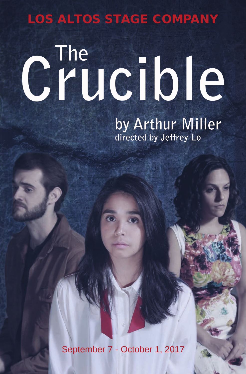## LOS ALTOS STAGE COMPANY

# **Crucible The**

**by Arthur Miller directed by Jeffrey Lo** 

September 7 - October 1, 2017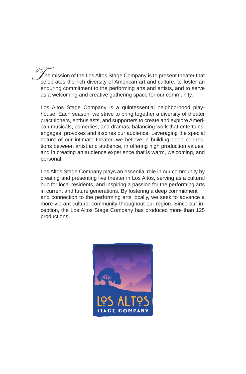he mission of the Los Altos Stage Company is to present theater that The mission of the Los Altos Stage Company is to present theater that<br>celebrates the rich diversity of American art and culture, to foster an enduring commitment to the performing arts and artists, and to serve as a welcoming and creative gathering space for our community.

Los Altos Stage Company is a quintessential neighborhood playhouse. Each season, we strive to bring together a diversity of theater practitioners, enthusiasts, and supporters to create and explore American musicals, comedies, and dramas; balancing work that entertains, engages, provokes and inspires our audience. Leveraging the special nature of our intimate theater, we believe in building deep connections between artist and audience, in offering high production values, and in creating an audience experience that is warm, welcoming, and personal.

Los Altos Stage Company plays an essential role in our community by creating and presenting live theater in Los Altos, serving as a cultural hub for local residents, and inspiring a passion for the performing arts in current and future generations. By fostering a deep commitment and connection to the performing arts locally, we seek to advance a more vibrant cultural community throughout our region. Since our inception, the Los Altos Stage Company has produced more than 125 productions.

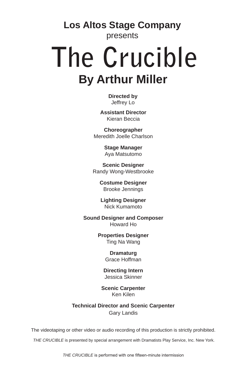**Los Altos Stage Company**

presents

## **By Arthur Miller The Crucible**

**Directed by** Jeffrey Lo

**Assistant Director** Kieran Beccia

**Choreographer** Meredith Joelle Charlson

> **Stage Manager** Aya Matsutomo

**Scenic Designer** Randy Wong-Westbrooke

> **Costume Designer** Brooke Jennings

**Lighting Designer** Nick Kumamoto

**Sound Designer and Composer** Howard Ho

> **Properties Designer** Ting Na Wang

> > **Dramaturg** Grace Hoffman

**Directing Intern** Jessica Skinner

**Scenic Carpenter** Ken Kilen

**Technical Director and Scenic Carpenter** Gary Landis

The videotaping or other video or audio recording of this production is strictly prohibited.

*THE CRUCIBLE* is presented by special arrangement with Dramatists Play Service, Inc. New York.

*THE CRUCIBLE* is performed with one fifteen-minute intermission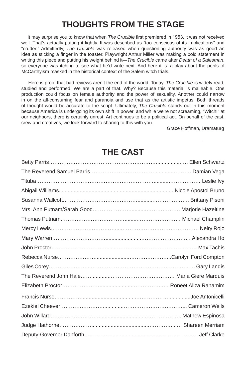## **THOUGHTS FROM THE STAGE**

 It may surprise you to know that when *The Crucible* first premiered in 1953, it was not received well. That's actually putting it lightly. It was described as "too conscious of its implications" and "cruder." Admittedly, *The Crucible* was released when questioning authority was as good an idea as sticking a finger in the toaster. Playwright Arthur Miller was making a bold statement in writing this piece and putting his weight behind it—*The Crucible* came after *Death of a Salesman*, so everyone was itching to see what he'd write next. And here it is: a play about the perils of McCarthyism masked in the historical context of the Salem witch trials.

 Here is proof that bad reviews aren't the end of the world. Today, *The Crucible* is widely read, studied and performed. We are a part of that. Why? Because this material is malleable. One production could focus on female authority and the power of sexuality. Another could narrow in on the all-consuming fear and paranoia and use that as the artistic impetus. Both threads of thought would be accurate to the script. Ultimately, *The Crucible* stands out in this moment because America is undergoing its own shift in power, and while we're not screaming, "Witch!" at our neighbors, there is certainly unrest. Art continues to be a political act. On behalf of the cast, crew and creatives, we look forward to sharing to this with you.

Grace Hoffman, Dramaturg

## Betty Parris…………………………………………………….................…. Ellen Schwartz The Reverend Samuel Parris……………………………….............………. Damian Vega Tituba…………………………………………………………..........……………… Leslie Ivy Abigail Williams..............................................................................Nicole Apostol Bruno Susanna Wallcott……………………………………...........……………….. Brittany Pisoni Mrs. Ann Putnam/Sarah Good…………………...........………………. Marjorie Hazeltine Thomas Putnam……………………………….........…………………… Michael Champlin Mercy Lewis……………………………….....……………………………………. Neiry Rojo Mary Warren…………………………........................…………………….… Alexandra Ho John Proctor…………………………........……………………………………… Max Tachis Rebecca Nurse………………….......................…………………...Carolyn Ford Compton Giles Corey…………………...………………………………………………..… Gary Landis The Reverend John Hale…….............……………………………… Maria Giere Marquis Elizabeth Proctor………………….......................……………..… Roneet Aliza Rahamim Francis Nurse…………….....................................………………...............Joe Antonicelli Ezekiel Cheever……………………..............……………………………... Cameron Wells John Willard………………………................................……………….. Mathew Espinosa Judge Hathorne……………….......................................…………....… Shareen Merriam Deputy-Governor Danforth…………….....................................……………… Jeff Clarke

## **THE CAST**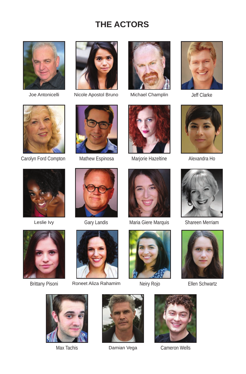## **THE ACTORS**





Joe Antonicelli Nicole Apostol Bruno Michael Champlin Jeff Clarke



















Gary Landis



Brittany Pisoni Roneet Aliza Rahamim Neiry Rojo Ellen Schwartz









Max Tachis **Damian Vega** Cameron Wells

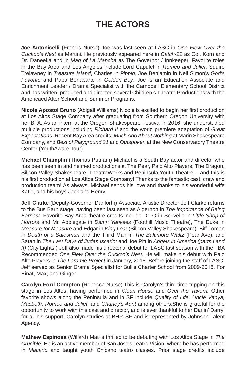## **THE ACTORS**

**Joe Antonicelli** (Francis Nurse) Joe was last seen at LASC in *One Flew Over the Cuckoo's Nest* as Martini. He previously appeared here in *Catch-22* as Col. Korn and Dr. Daneeka and in *Man of La Mancha* as The Governor / Innkeeper. Favorite roles in the Bay Area and Los Angeles include Lord Capulet in *Romeo and Juliet*, Squire Trelawney in *Treasure Island*, Charles in *Pippin*, Joe Benjamin in Neil Simon's *God's Favorite* and Papa Bonaparte in *Golden Boy*. Joe is an Education Associate and Enrichment Leader / Drama Specialist with the Campbell Elementary School District and has written, produced and directed several Children's Theatre Productions with the Americaed After School and Summer Programs.

**Nicole Apostol Bruno** (Abigail Williams) Nicole is excited to begin her first production at Los Altos Stage Company after graduating from Southern Oregon University with her BFA. As an intern at the Oregon Shakespeare Festival in 2016, she understudied multiple productions including *Richard II* and the world premiere adaptation of *Great Expectations*. Recent Bay Area credits: *Much Ado About Nothing* at Marin Shakespeare Company, and *Best of Playground 21* and *Outspoken* at the New Conservatory Theatre Center (YouthAware Tour)

**Michael Champlin** (Thomas Putnam) Michael is a South Bay actor and director who has been seen in and helmed productions at The Pear, Palo Alto Players, The Dragon, Silicon Valley Shakespeare, TheatreWorks and Peninsula Youth Theatre -- and this is his first production at Los Altos Stage Company! Thanks to the fantastic cast, crew and production team! As always, Michael sends his love and thanks to his wonderful wife Katie, and his boys Jack and Henry.

**Jeff Clarke** (Deputy-Governor Danforth) Associate Artistic Director Jeff Clarke returns to the Bus Barn stage, having been last seen as Algernon in *The Importance of Being Earnest.* Favorite Bay Area theatre credits include Dr. Orin Scrivello in *Little Shop of Horrors* and Mr. Applegate in *Damn Yankees* (Foothill Music Theatre), The Duke in *Measure for Measure* and Edgar in *King Lear* (Silicon Valley Shakespeare), Biff Loman in *Death of a Salesman* and the Third Man in *The Baltimore Waltz* (Pear Ave), and Satan in *The Last Days of Judas Iscariot* and Joe Pitt in *Angels in America (parts I and II)* (City Lights.) Jeff also made his directorial debut for LASC last season with the TBA Recommended *One Flew Over the Cuckoo's Nest.* He will make his debut with Palo Alto Players in *The Laramie Project* in January, 2018. Before joining the staff of LASC, Jeff served as Senior Drama Specialist for Bullis Charter School from 2009-2016. For Einat, Max, and Ginger.

**Carolyn Ford Compton** (Rebecca Nurse) This is Carolyn's third time tripping on this stage in Los Altos, having performed in *Clean House* and *Over the Tavern.* Other favorite shows along the Peninsula and in SF include *Quality of Life, Uncle Vanya, Macbeth, Romeo and Juliet,* and *Charley's Aunt* among others.She is grateful for the opportunity to work with this cast and director, and is ever thankful to her Darlin' Darryl for all his support. Carolyn studies at BHP, SF and is represented by Johnson Talent Agency.

**Mathew Espinosa** (Willard) Mat is thrilled to be debuting with Los Altos Stage in *The Crucible*. He is an active member of San Jose's Teatro Visión, where he has performed in *Macario* and taught youth Chicano teatro classes. Prior stage credits include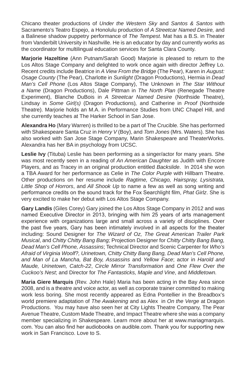Chicano theater productions of *Under the Western Sky* and *Santos & Santos* with Sacramento's Teatro Espejo, a Honolulu production of *A Streetcar Named Desire,* and a Balinese shadow puppetry performance of *The Tempest*. Mat has a B.S. in Theater from Vanderbilt University in Nashville. He is an educator by day and currently works as the coordinator for multilingual education services for Santa Clara County.

**Marjorie Hazeltine** (Ann Putnam/Sarah Good) Marjorie is pleased to return to the Los Altos Stage Company and delighted to work once again with director Jeffrey Lo. Recent credits include Beatrice in *A View From the Bridge* (The Pear), Karen in *August: Osage County* (The Pear), Charlotte in *Sunlight* (Dragon Productions), Hermia in *Dead Man's Cell Phone* (Los Altos Stage Company), The Unknown in *The Star Without a Name* (Dragon Productions), Dale Pittman in *The North Plan* (Renegade Theatre Experiment), Blanche DuBois in *A Streetcar Named Desire* (Northside Theatre), Lindsay in *Some Girl(s)* (Dragon Productions)*,* and Catherine in *Proof* (Northside Theatre). Marjorie holds an M.A. in Performance Studies from UNC Chapel Hill, and she currently teaches at The Harker School in San Jose.

**Alexandra Ho** (Mary Warren) is thrilled to be a part of The Crucible. She has performed with Shakespeare Santa Cruz in *Henry V* (Boy), and *Tom Jones* (Mrs. Waters). She has also worked with San Jose Stage Company, Marin Shakespeare and TheaterWorks. Alexandra has her BA in psychology from UCSC.

**Leslie Ivy** (Tituba) Leslie has been performing as a singer/actor for many years. She was most recently seen in a reading of *An American Daughter* as Judith with Encore Players, and as Tracey in an original production entitled *Backslide*. In 2014 she won a TBA Award for her performance as Celie in *The Color Purple* with Hillbarn Theatre. Other productions on her resume include *Ragtime, Chicago, Hairspray, Lysistrata, Little Shop of Horrors*, and *All Shook Up* to name a few as well as song writing and performance credits on the sound track for the Fox Searchlight film, *Phat Girlz*. She is very excited to make her debut with Los Altos Stage Company.

**Gary Landis** (Giles Corey) Gary joined the Los Altos Stage Company in 2012 and was named Executive Director in 2013, bringing with him 25 years of arts management experience with organizations large and small across a variety of disciplines. Over the past five years, Gary has been intimately involved in all aspects for the theater including: Sound Designer for *The Wizard of Oz, The Great American Trailer Park Musical*, and *Chitty Chitty Bang Bang;* Projection Designer for *Chitty Chitty Bang Bang, Dead Man's Cell Phone, Assassins*; Technical Director and Scenic Carpenter for *Who's Afraid of Virginia Woolf?, Urinetown, Chitty Chitty Bang Bang, Dead Man's Cell Phone, and Man of La Mancha, Bat Boy, Assassins* and *Yellow Face*; actor in *Harold and Maude, Urinetown, Catch-22*, *Circle Mirror Transformation* and *One Flew Over the Cuckoo's Nest*; and Director for *The Fantasticks, Maple and Vine*, and *Middletown.*

**Maria Giere Marquis** (Rev. John Hale) Maria has been acting in the Bay Area since 2008, and is a theatre and voice actor, as well as corporate trainer committed to making work less boring. She most recently appeared as Edna Pontellier in the Breadbox's world premiere adaptation of *The Awakening* and as Alex in *On the Verge* at Dragon Productions. You may have also seen her at City Lights Theatre Company, The Pear Avenue Theatre, Custom Made Theatre, and Impact Theatre where she was a company member specializing in Shakespeare. Learn more about her at www.mariagmarquis. com. You can also find her audiobooks on audible.com. Thank you for supporting new work in San Francisco. Love to S.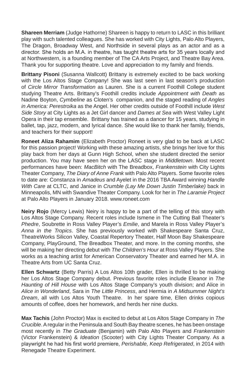**Shareen Merriam** (Judge Hathorne) Shareen is happy to return to LASC in this brilliant play with such talented colleagues. She has worked with City Lights, Palo Alto Players, The Dragon, Broadway West, and Northside in several plays as an actor and as a director. She holds an M.A. in theatre, has taught theatre arts for 35 years locally and at Northwestern, is a founding member of The CA Arts Project, and Theatre Bay Area. Thank you for supporting theatre. Love and appreciation to my family and friends.

**Brittany Pisoni** (Susanna Wallcott) Brittany is extremely excited to be back working with the Los Altos Stage Company! She was last seen in last season's production of *Circle Mirror Transformation* as Lauren. She is a current Foothill College student studying Theatre Arts. Brittany's Foothill credits include *Appointment with Death* as Nadine Boyton, *Cymbeline* as Cloten's companion, and the staged reading of *Angles in America: Perestroika* as the Angel. Her other credits outside of Foothill include *West Side Story* at City Lights as a Jet Girl dancer and *Dames at Sea* with West Valley Light Opera in their tap ensemble. Brittany has trained as a dancer for 15 years, studying in ballet, tap, jazz, modern, and lyrical dance. She would like to thank her family, friends, and teachers for their support!

**Roneet Aliza Rahamim** (Elizabeth Proctor) Roneet is very glad to be back at LASC for this passion project! Working with these amazing artists, she brings her love for this play back from her days at Gunn High School, when she student directed the senior production. You may have seen her on the LASC stage in *Middletown*. Most recent performances have been: *MacBitch* with The Breadbox, *Frankenstein* with City Lights Theater Company, *The Diary of Anne Frank* with Palo Alto Players. Some favorite roles to date are: Constanza in *Amadeus* and Ayelet in the 2016 TBA Award winning *Handle With Care* at CLTC, and Janice in *Crumble (Lay Me Down Justin Timberlake)* back in Minneapolis, MN with Swandive Theater Company. Look for her in *The Laramie Project*  at Palo Alto Players in January 2018. www.roneet.com

**Neiry Rojo** (Mercy Lewis) Neiry is happy to be a part of the telling of this story with Los Altos Stage Company. Recent roles include Ismene in The Cutting Ball Theater's *Phedre*, Soubrette in Ross Valley Player's *Emilie*, and Marela in Ross Valley Player's *Anna in the Tropics*. She has previously worked with Shakespeare Santa Cruz, TheatreWorks Silicon Valley, Coastal Repertory Theater, Half Moon Bay Shakespeare Company, PlayGround, The Breadbox Theater, and more. In the coming months, she will be making her directing debut with *The Children's Hour* at Ross Valley Players. She works as a teaching artist for American Conservatory Theater and earned her M.A. in Theatre Arts from UC Santa Cruz.

**Ellen Schwartz** (Betty Parris) A Los Altos 10th grader, Ellen is thrilled to be making her Los Altos Stage Company debut. Previous favorite roles include Eleanor in *The Haunting of Hill House* with Los Altos Stage Company's youth division; and Alice in *Alice in Wonderland*, Sara in *The Little Princess*, and Hermia in *A Midsummer Night's Dream*, all with Los Altos Youth Theatre. In her spare time, Ellen drinks copious amounts of coffee, does her homework, and herds her nine ducks.

**Max Tachis** (John Proctor) Max is excited to debut at Los Altos Stage Company in *The Crucible*. A regular in the Peninsula and South Bay theatre scenes, he has been onstage most recently in *The Graduate* (Benjamin) with Palo Alto Players and *Frankenstein* (Victor Frankenstein) & *Ideation* (Scooter) with City Lights Theater Company. As a playwright he had his first world premiere, *Perishable, Keep Refrigerated*, in 2014 with Renegade Theatre Experiment.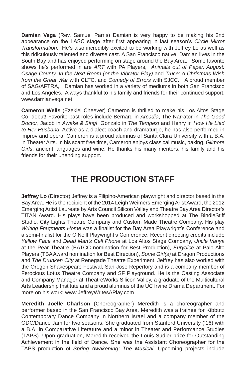**Damian Vega** (Rev. Samuel Parris) Damian is very happy to be making his 2nd appearance on the LASC stage after first appearing in last season's *Circle Mirror Transformation*. He's also incredibly excited to be working with Jeffrey Lo as well as this ridiculously talented and diverse cast. A San Francisco native, Damian lives in the South Bay and has enjoyed performing on stage around the Bay Area. Some favorite shows he's performed in are *ART* with PA Players, *Animals out of Paper, August: Osage County, In the Next Room (or the Vibrator Play)* and *Truce: A Christmas Wish from the Great War* with CLTC, and *Comedy of Errors* with SJCC. A proud member of SAG/AFTRA, Damian has worked in a variety of mediums in both San Francisco and Los Angeles. Always thankful to his family and friends for their continued support. www.damianvega.net

**Cameron Wells** (Ezekiel Cheever) Cameron is thrilled to make his Los Altos Stage Co. debut! Favorite past roles include Bernard in *Arcadia*, The Narrator in *The Good Doctor*, Jacob in *Awake & Sing!*, Gonzalo in *The Tempest* and Henry in *How He Lied to Her Husband*. Active as a dialect coach and dramaturge, he has also performed in improv and opera. Cameron is a proud alumnus of Santa Clara University with a B.A. in Theater Arts. In his scant free time, Cameron enjoys classical music, baking, *Gilmore Girls*, ancient languages and wine. He thanks his many mentors, his family and his friends for their unending support.

## **THE PRODUCTION STAFF**

**Jeffrey Lo** (Director) Jeffrey is a Filipino-American playwright and director based in the Bay Area. He is the recipient of the 2014 Leigh Weimers Emerging Arist Award, the 2012 Emerging Artist Laureate by Arts Council Silicon Valley and Theatre Bay Area Director's TITAN Award. His plays have been produced and workshopped at The BindleStiff Studio, City Lights Theatre Company and Custom Made Theatre Company. His play *Writing Fragments Home* was a finalist for the Bay Area Playwright's Conference and a semi-finalist for the O'Neill Playwright's Conference. Recent directing credits include *Yellow Face* and *Dead Man's Cell Phone* at Los Altos Stage Company, *Uncle Vanya* at the Pear Theatre (BATCC nomination for Best Production), *Eurydice* at Palo Alto Players (TBA Award nomination for Best Direction), *Some Girl(s)* at Dragon Productions and *The Drunken City* at Renegade Theatre Experiment. Jeffrey has also worked with the Oregon Shakespeare Festival, San Jose Repertory and is a company member of Ferocious Lotus Theatre Company and SF Playground. He is the Casting Associate and Company Manager at TheatreWorks Silicon Valley, a graduate of the Multicultural Arts Leadership Institute and a proud alumnus of the UC Irvine Drama Department. For more on his work: www.JeffreyWritesAPlay.com

**Meredith Joelle Charlson** (Choreographer) Meredith is a choreographer and performer based in the San Francisco Bay Area. Meredith was a trainee for Kibbutz Contemporary Dance Company in Northern Israel and a company member of the ODC/Dance Jam for two seasons. She graduated from Stanford University ('16) with a B.A. in Comparative Literature and a minor in Theater and Performance Studies (TAPS). Upon graduation, Meredith received the Louis Sudler prize for Outstanding Achievement in the field of Dance. She was the Assistant Choreographer for the TAPS production of *Spring Awakening: The Musical.* Upcoming projects include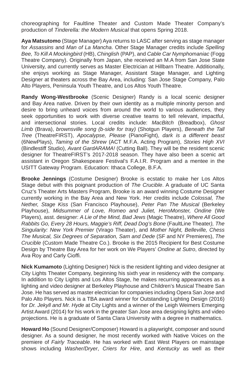choreographing for Faultline Theater and Custom Made Theater Company's production of *Tinderella: the Modern Musical* that opens Spring 2018.

**Aya Matsutomo** (Stage Manager) Aya returns to LASC after serving as stage manager for *Assassins* and *Man of La Mancha*. Other Stage Manager credits include *Spelling Bee, To Kill A Mockingbird* (HB), *Chinglish* (PAP), and *Cable Car Nymphomaniac* (Fogg Theatre Company). Originally from Japan, she received an M.A from San Jose State University, and currently serves as Master Electrician at Hillbarn Theatre. Additionally, she enjoys working as Stage Manager, Assistant Stage Manager, and Lighting Designer at theaters across the Bay Area, including: San Jose Stage Company, Palo Alto Players, Peninsula Youth Theatre, and Los Altos Youth Theatre.

**Randy Wong-Westbrooke** (Scenic Designer) Randy is a local scenic designer and Bay Area native. Driven by their own identity as a multiple minority person and desire to bring unheard voices from around the world to various audiences, they seek opportunities to work with diverse creative teams to tell relevant, impactful, and intersectional stories. Local credits include: *MacBitch* (Breadbox), *Ghost Limb* (Brava), *brownsville song (b-side for tray)* (Shotgun Players), *Beneath the Tall Tree* (TheatreFIRST), *Apocalypse, Please* (PianoFight), *dark is a different beast*  (6NewPlays), *Taming of the Shrew* (ACT M.F.A. Acting Program), *Stories High XVI*  (Bindlestiff Studio), *Avant GardARAMA!* (Cutting Ball). They will be the resident scenic designer for TheatreFIRST's 2017-2018 season. They have also been a scenic art assistant in Oregon Shakespeare Festival's F.A.I.R. Program and a mentee in the USITT Gateway Program. Education: Ithaca College, B.F.A.

**Brooke Jennings** (Costume Designer) Brooke is ecstatic to make her Los Altos Stage debut with this poignant production of *The Crucible*. A graduate of UC Santa Cruz's Theater Arts Masters Program, Brooke is an award winning Costume Designer currently working in the Bay Area and New York. Her credits include *Colossal, The Nether, Stage Kiss* (San Francisco Playhouse), *Peter Pan The Musical* (Berkeley Playhouse), *Midsummer of Love, Romeo and Juliet, HeroMonster, Ondine* (We Players), asst. designer: *A Lie of the Mind, Bad Jews* (Magic Theatre), *Where All Good Rabbits Go, Every 28 Hours, Maggie's Riff, Dead Dog's Bone* (FaultLine Theater*), The Singularity: New York Premier* (Virago Theater), and *Mother Night, Belleville, Chess The Musical, Six Degrees of Separation, Sam and Dede* (SF and NY Premieres), *The Crucible* (Custom Made Theatre Co.). Brooke is the 2015 Recipient for Best Costume Design by Theatre Bay Area for her work on We Players' *Ondine at Sutro*, directed by Ava Roy and Carly Cioffi.

**Nick Kumamoto** (Lighting Designer) Nick is the resident lighting and video designer at City Lights Theater Company, beginning his sixth year in residency with the company. In addition to City Lights and Los Altos Stage, he makes recurring appearances as a lighting and video designer at Berkeley Playhouse and Children's Musical Theatre San Jose. He has served as master electrician for companies including Opera San Jose and Palo Alto Players. Nick is a TBA award winner for Outstanding Lighting Design (2016) for *Dr. Jekyll and Mr. Hyde* at City Lights and a winner of the Leigh Weimers Emerging Artist Award (2014) for his work in the greater San Jose area designing lights and video projections. He is a graduate of Santa Clara University with a degree in mathematics.

**Howard Ho** (Sound Designer/Composer) Howard is a playwright, composer and sound designer. As a sound designer, he most recently worked with Native Voices on the premiere of *Fairly Traceable*. He has worked with East West Players on mainstage shows including *Washer/Dryer*, *Criers for Hire*, and *Kentucky* as well as their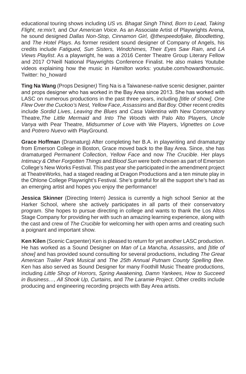educational touring shows including *US vs. Bhagat Singh Thind, Born to Lead, Taking Flight, re:mix't,* and *Our American Voice*. As an Associate Artist of Playwrights Arena, he sound designed *Dallas Non-Stop, Cinnamon Girl, @thespeedofjake, Bloodletting*, and *The Hotel Plays*. As former resident sound designer of Company of Angels, his credits include *Fatigued, Sun Sisters, Windchimes, Their Eyes Saw Rain*, and *LA Views Playlist*. As a playwright, he was a 2016 Center Theatre Group Literary Fellow and 2017 O'Neill National Playwrights Conference Finalist. He also makes Youtube videos explaining how the music in *Hamilton* works: youtube.com/howardhomusic. Twitter: ho\_howard

**Ting Na Wang** (Props Designer*)* Ting Na is a Taiwanese-native scenic designer, painter and props designer who has worked in the Bay Area since 2013. She has worked with LASC on numerous productions in the past three years, including *[title of show], One Flew Over the Cuckoo's Nest, Yellow Face*, *Assassins* and *Bat Boy.* Other recent credits include *Sordid Lives*, *Leaving the Blues* and *Casa Valentina* with New Conservatory Theatre,*The Little Mermaid* and *Into The Woods* with Palo Alto Players*, Uncle Vanya* with Pear Theatre, *Midsummer of Love* with We Players, *Vignettes on Love* and *Potrero Nuevo* with PlayGround.

**Grace Hoffman** (Dramaturg) After completing her B.A. in playwriting and dramaturgy from Emerson College in Boston, Grace moved back to the Bay Area. Since, she has dramaturged *Permanent Collection*, *Yellow Face* and now *The Crucible*. Her plays *Intimacy & Other Forgotten Things* and *Blood Sun* were both chosen as part of Emerson College's New Works Festival. This past year she participated in the amendment project at TheatreWorks, had a staged reading at Dragon Productions and a ten minute play in the Ohlone College Playwright's Festival. She's grateful for all the support she's had as an emerging artist and hopes you enjoy the performance!

**Jessica Skinner** (Directing Intern) Jessica is currently a high school Senior at the Harker School, where she actively participates in all parts of their conservatory program. She hopes to pursue directing in college and wants to thank the Los Altos Stage Company for providing her with such an amazing learning experience, along with the cast and crew of *The Crucible* for welcoming her with open arms and creating such a poignant and important show.

**Ken Kilen** (Scenic Carpenter) Ken is pleased to return for yet another LASC production. He has worked as a Sound Designer on *Man of La Mancha, Assassins*, and *[title of show]* and has provided sound consulting for several productions, including *The Great American Trailer Park Musical* and *The 25th Annual Putnam County Spelling Bee.* Ken has also served as Sound Designer for many Foothill Music Theatre productions, including *Little Shop of Horrors, Spring Awakening, Damn Yankees, How to Succeed in Business…, All Shook Up, Curtains,* and *The Laramie Project*. Other credits include producing and engineering recording projects with Bay Area artists.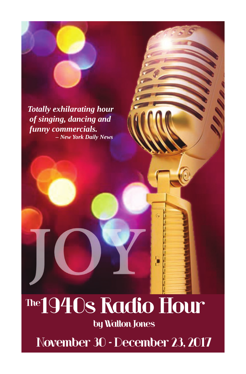*Totally exhilarating hour of singing, dancing and funny commercials. – New York Daily News*

## The 1940s Radio Hour

by Walton Jones

November 30 - December 23, 2017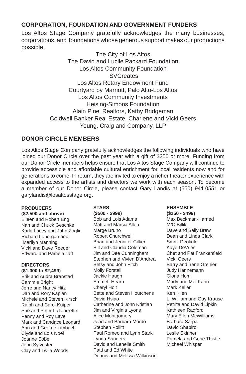#### **CORPORATION, FOUNDATION AND GOVERNMENT FUNDERS**

Los Altos Stage Company gratefully acknowledges the many businesses, corporations, and foundations whose generous support makes our productions possible.

> The City of Los Altos The David and Lucile Packard Foundation Los Altos Community Foundation **SVCreates** Los Altos Rotary Endowment Fund Courtyard by Marriott, Palo Alto-Los Altos Los Altos Community Investments Heising-Simons Foundation Alain Pinel Realtors, Kathy Bridgeman Coldwell Banker Real Estate, Charlene and Vicki Geers Young, Craig and Company, LLP

#### **DONOR CIRCLE MEMBERS**

Los Altos Stage Company gratefully acknowledges the following individuals who have joined our Donor Circle over the past year with a gift of \$250 or more. Funding from our Donor Circle members helps ensure that Los Altos Stage Company will continue to provide accessible and affordable cultural enrichment for local residents now and for generations to come. In return, they are invited to enjoy a richer theater experience with expanded access to the artists and directors we work with each season. To become a member of our Donor Circle, please contact Gary Landis at (650) 941.0551 or garylandis@losaltosstage.org.

#### **PRODUCERS**

**(\$2,500 and above)** Eileen and Robert Eng Nan and Chuck Geschke Karla Lacey and John Zoglin Richard Lonergan and Marilyn Manning Vicki and Dave Reeder Edward and Pamela Taft

#### **DIRECTORS**

**(\$1,000 to \$2,499)** Erik and Audra Branstad Cammie Bright Jerre and Nancy Hitz Dan and Rory Kaplan Michele and Steven Kirsch Ralph and Carol Kuiper Sue and Peter LaTourrette Penny and Roy Lave Mark and Candace Leonard Ann and George Limbach Clyde and Lois Noel Joanne Sobel John Sylvester Clay and Twila Woods

**STARS (\$500 - \$999)**

Bob and Lois Adams Matt and Marcia Allen Marge Bruno Robert Churchwell Brian and Jennifer Cilker Bill and Claudia Coleman Jim and Dee Cunningham Stephen and Vivien D'Andrea Betsy and John Fitch Molly Forstall Jackie Haugh Emmett Hearn Cheryl Holt Bette and Steven Houtchens David Hsiao Catherine and John Kristian Jim and Virginia Lyons Alice Montgomery Jean and Barbara Mordo Stephen Pollitt Paul Romeo and Lynn Stark Lynda Sanders David and Lenelle Smith Patti and Ed White Dennis and Melissa Wilkinson

#### **ENSEMBLE (\$250 - \$499)**

Max Beckman-Harned M/C Billik Dave and Sally Brew Dean and Linda Clark Smriti Deokule Kaye DeVries Chet and Pat Frankenfield Vicki Geers Barry and Irene Grenier Judy Hannemann Gloria Hom Mady and Mel Kahn Mark Keller Ken Kilen L. William and Gay Krause Petrita and David Lipkin Kathleen Radford Mary Ellen McWilliams Barbara Sarpa David Shapiro Leslie Skinner Pamela and Gene Thistle Michael Whisper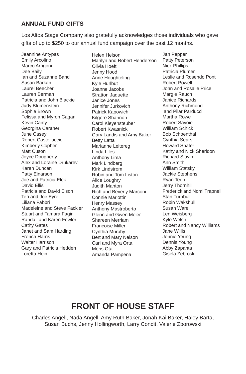#### **ANNUAL FUND GIFTS**

Los Altos Stage Company also gratefully acknowledges those individuals who gave gifts of up to \$250 to our annual fund campaign over the past 12 months.

Jeannine Antypas Emily Arcolino Marco Arrigoni Dee Baily Ian and Suzanne Band Susan Barkan Laurel Beecher Lauren Berman Patricia and John Blackie Judy Blumenstein Sophie Brown Felissa and Myron Cagan Kevin Canty Georgina Caraher June Casey Robert Castelluccio Kimberly Copher Matt Cuson Joyce Dougherty Alex and Loraine Drukarev Karen Duncan Patty Einarson Joe and Patricia Elek David Ellis Patricia and David Elson Teri and Joe Eyre Liliana Fabbri Madeleine and Steve Fackler Stuart and Tamara Fagin Randall and Karen Fowler Cathy Gates Janet and Sam Harding French Harris Walter Harrison Gary and Patricia Hedden Loretta Hein

Helen Helson Marilyn and Robert Henderson Olivia Hoeft Jenny Hood Anne Houghteling Kyle Hurlbut Joanne Jacobs Stratton Jaquette Janice Jones Jennifer Jurkovich Patrick Kapowich Kilgore Shannon Carol Kleyensteuber Robert Kwasnick Gary Landis and Amy Baker Betty Latta Marianne Leitereg Linda Liles Anthony Lima Mark Lindberg Kirk Lindstrom Robin and Tom Liston Alice Loughry Judith Manton Rich and Beverly Marconi Connie Mariottini Henry Massey Anthony Mastroberto Glenn and Gwen Meier Shareen Merriam Francoise Miller Cynthia Murphy Bert and Mary Nelson Carl and Myra Orta Meris Ota Amanda Pampena

Jan Pepper Patty Peterson Nick Phillips Patricia Plumer Leslie and Rosendo Pont Robert Powell John and Rosalie Price Margie Rauch Janice Richards Anthony Richmond and Pilar Parducci Martha Rowe Robert Savoie William Schick Bob Schoenthal Cynthia Sears Howard Shafer Kathy and Nick Sheridon Richard Slavin Ann Smith William Statsky Jackie Stephens Ryan Teon Jerry Thornhill Frederick and Nomi Trapnell Stan Turnbull Robin Wakshull Susan Ware Len Weisberg Kyle Welsh Robert and Nancy Williams Jane Willis Jennie Yeung Dennis Young Abby Zapanta Gisela Zebroski

## **FRONT OF HOUSE STAFF**

Charles Angell, Nada Angell, Amy Ruth Baker, Jonah Kai Baker, Haley Barta, Susan Buchs, Jenny Hollingworth, Larry Condit, Valerie Zborowski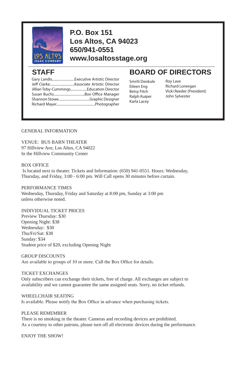

### **P.O. Box 151 Los Altos, CA 94023 650/941-0551 www.losaltosstage.org**

| Gary LandisExecutive Artistic Director  |
|-----------------------------------------|
|                                         |
| Jillian Toby-CummingsEducation Director |
|                                         |
|                                         |
|                                         |

### STAFF BOARD OF DIRECTORS

Smriti Deokule Eileen Eng Betsy Fitch Ralph Kuiper Karla Lacey

Roy Lave Richard Lonergan Vicki Reeder (President) John Sylvester

#### GENERAL INFORMATION

VENUE: BUS BARN THEATER 97 Hillview Ave, Los Altos, CA 94022 In the Hillview Community Center

#### BOX OFFICE

 Is located next to theater. Tickets and Information: (650) 941-0551. Hours: Wednesday, Thursday, and Friday, 3:00 - 6:00 pm. Will Call opens 30 minutes before curtain.

PERFORMANCE TIMES Wednesday, Thursday, Friday and Saturday at 8:00 pm, Sunday at 3:00 pm unless otherwise noted.

#### INDIVIDUAL TICKET PRICES

Preview Thursday: \$30 Opening Night: \$38 Wednesday: \$30 Thu/Fri/Sat: \$38 Sunday: \$34 Student price of \$20, excluding Opening Night

#### GROUP DISCOUNTS

Are available to groups of 10 or more. Call the Box Office for details.

#### TICKET EXCHANGES

Only subscribers can exchange their tickets, free of charge. All exchanges are subject to availability and we cannot guarantee the same assigned seats. Sorry, no ticket refunds.

WHEELCHAIR SEATING Is available. Please notify the Box Office in advance when purchasing tickets.

#### PLEASE REMEMBER

There is no smoking in the theater. Cameras and recording devices are prohibited. As a courtesy to other patrons, please turn off all electronic devices during the performance.

ENJOY THE SHOW!